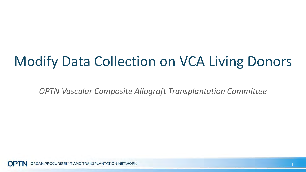# Modify Data Collection on VCA Living Donors

*OPTN Vascular Composite Allograft Transplantation Committee*

GAN PROCUREMENT AND TRANSPLANTATION NETWORK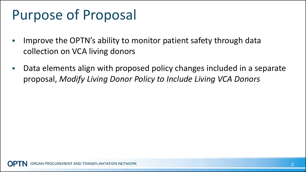## Purpose of Proposal

- Improve the OPTN's ability to monitor patient safety through data collection on VCA living donors
- Data elements align with proposed policy changes included in a separate proposal, *Modify Living Donor Policy to Include Living VCA Donors*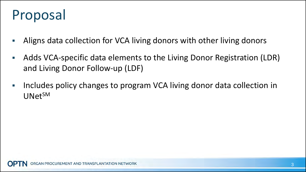## Proposal

- Aligns data collection for VCA living donors with other living donors
- Adds VCA-specific data elements to the Living Donor Registration (LDR) and Living Donor Follow-up (LDF)
- Includes policy changes to program VCA living donor data collection in UNetSM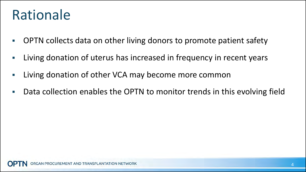#### Rationale

- OPTN collects data on other living donors to promote patient safety
- Living donation of uterus has increased in frequency in recent years
- **EXTE:** Living donation of other VCA may become more common
- Data collection enables the OPTN to monitor trends in this evolving field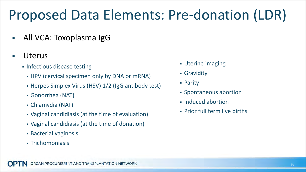# Proposed Data Elements: Pre-donation (LDR)

- **All VCA: Toxoplasma IgG**
- Uterus
	- Infectious disease testing
		- HPV (cervical specimen only by DNA or mRNA)
		- Herpes Simplex Virus (HSV) 1/2 (IgG antibody test)
		- Gonorrhea (NAT)
		- Chlamydia (NAT)
		- Vaginal candidiasis (at the time of evaluation)
		- Vaginal candidiasis (at the time of donation)
		- **Bacterial vaginosis**
		- **Trichomoniasis**
- Uterine imaging
- Gravidity
- **Parity**
- Spontaneous abortion
- **Induced abortion**
- Prior full term live births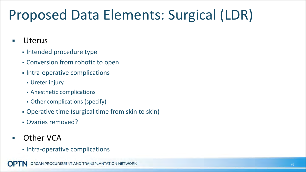# Proposed Data Elements: Surgical (LDR)

- Uterus
	- **Intended procedure type**
	- Conversion from robotic to open
	- **Intra-operative complications** 
		- Ureter injury
		- Anesthetic complications
		- Other complications (specify)
	- Operative time (surgical time from skin to skin)
	- Ovaries removed?
- Other VCA
	- **Intra-operative complications**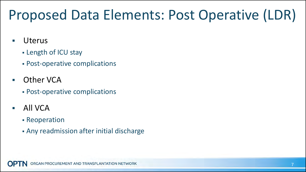# Proposed Data Elements: Post Operative (LDR)

- Uterus
	- Length of ICU stay
	- Post-operative complications
- Other VCA
	- Post-operative complications
- All VCA
	- Reoperation
	- Any readmission after initial discharge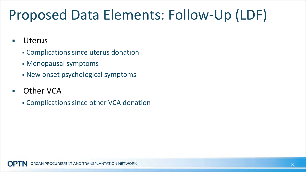# Proposed Data Elements: Follow-Up (LDF)

- Uterus
	- Complications since uterus donation
	- Menopausal symptoms
	- New onset psychological symptoms
- **Dumber VCA** 
	- Complications since other VCA donation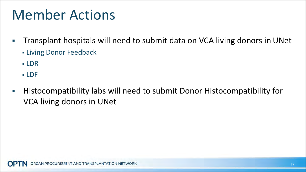# Member Actions

- **The Transplant hospitals will need to submit data on VCA living donors in UNet** 
	- **Living Donor Feedback**
	- LDR
	- LDF
- **Histocompatibility labs will need to submit Donor Histocompatibility for** VCA living donors in UNet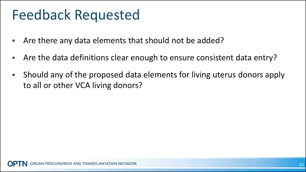#### Feedback Requested

- Are there any data elements that should not be added?
- Are the data definitions clear enough to ensure consistent data entry?
- Should any of the proposed data elements for living uterus donors apply to all or other VCA living donors?